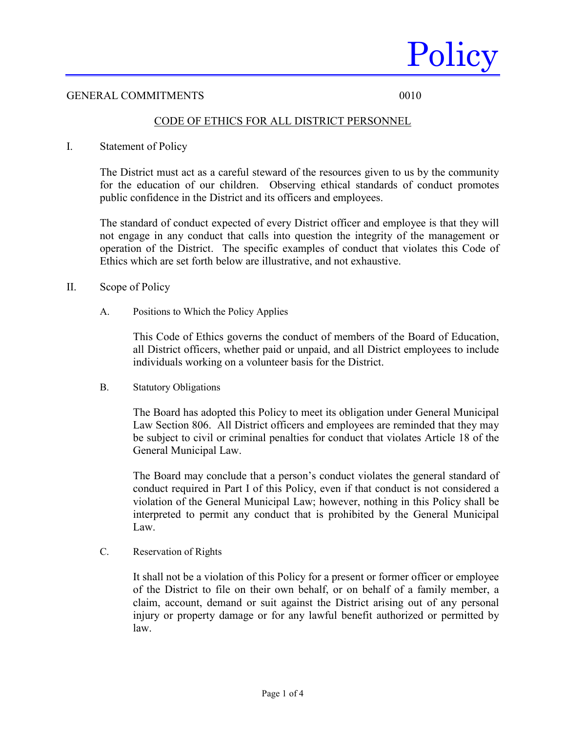

### GENERAL COMMITMENTS 0010

## CODE OF ETHICS FOR ALL DISTRICT PERSONNEL

I. Statement of Policy

The District must act as a careful steward of the resources given to us by the community for the education of our children. Observing ethical standards of conduct promotes public confidence in the District and its officers and employees.

The standard of conduct expected of every District officer and employee is that they will not engage in any conduct that calls into question the integrity of the management or operation of the District. The specific examples of conduct that violates this Code of Ethics which are set forth below are illustrative, and not exhaustive.

- II. Scope of Policy
	- A. Positions to Which the Policy Applies

This Code of Ethics governs the conduct of members of the Board of Education, all District officers, whether paid or unpaid, and all District employees to include individuals working on a volunteer basis for the District.

B. Statutory Obligations

The Board has adopted this Policy to meet its obligation under General Municipal Law Section 806. All District officers and employees are reminded that they may be subject to civil or criminal penalties for conduct that violates Article 18 of the General Municipal Law.

The Board may conclude that a person's conduct violates the general standard of conduct required in Part I of this Policy, even if that conduct is not considered a violation of the General Municipal Law; however, nothing in this Policy shall be interpreted to permit any conduct that is prohibited by the General Municipal Law.

C. Reservation of Rights

It shall not be a violation of this Policy for a present or former officer or employee of the District to file on their own behalf, or on behalf of a family member, a claim, account, demand or suit against the District arising out of any personal injury or property damage or for any lawful benefit authorized or permitted by law.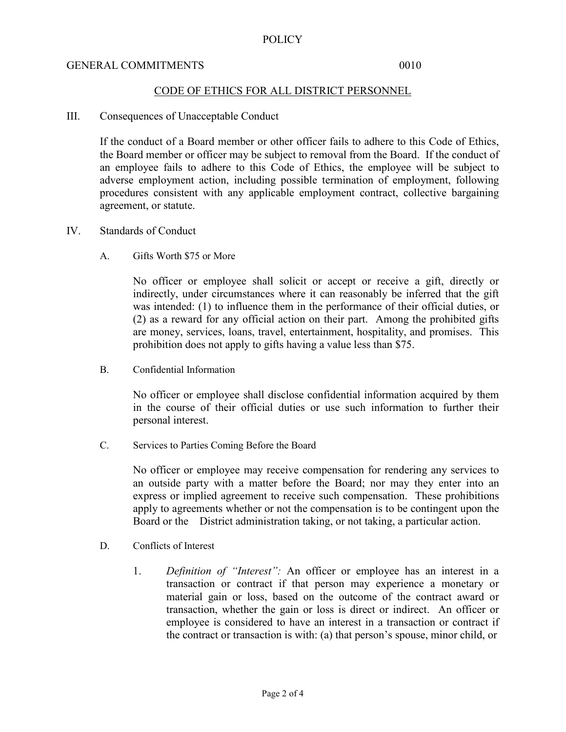## GENERAL COMMITMENTS 0010

## CODE OF ETHICS FOR ALL DISTRICT PERSONNEL

#### III. Consequences of Unacceptable Conduct

If the conduct of a Board member or other officer fails to adhere to this Code of Ethics, the Board member or officer may be subject to removal from the Board. If the conduct of an employee fails to adhere to this Code of Ethics, the employee will be subject to adverse employment action, including possible termination of employment, following procedures consistent with any applicable employment contract, collective bargaining agreement, or statute.

## IV. Standards of Conduct

A. Gifts Worth \$75 or More

No officer or employee shall solicit or accept or receive a gift, directly or indirectly, under circumstances where it can reasonably be inferred that the gift was intended: (1) to influence them in the performance of their official duties, or (2) as a reward for any official action on their part. Among the prohibited gifts are money, services, loans, travel, entertainment, hospitality, and promises. This prohibition does not apply to gifts having a value less than \$75.

B. Confidential Information

No officer or employee shall disclose confidential information acquired by them in the course of their official duties or use such information to further their personal interest.

C. Services to Parties Coming Before the Board

No officer or employee may receive compensation for rendering any services to an outside party with a matter before the Board; nor may they enter into an express or implied agreement to receive such compensation. These prohibitions apply to agreements whether or not the compensation is to be contingent upon the Board or the District administration taking, or not taking, a particular action.

- D. Conflicts of Interest
	- 1. *Definition of "Interest":* An officer or employee has an interest in a transaction or contract if that person may experience a monetary or material gain or loss, based on the outcome of the contract award or transaction, whether the gain or loss is direct or indirect. An officer or employee is considered to have an interest in a transaction or contract if the contract or transaction is with: (a) that person's spouse, minor child, or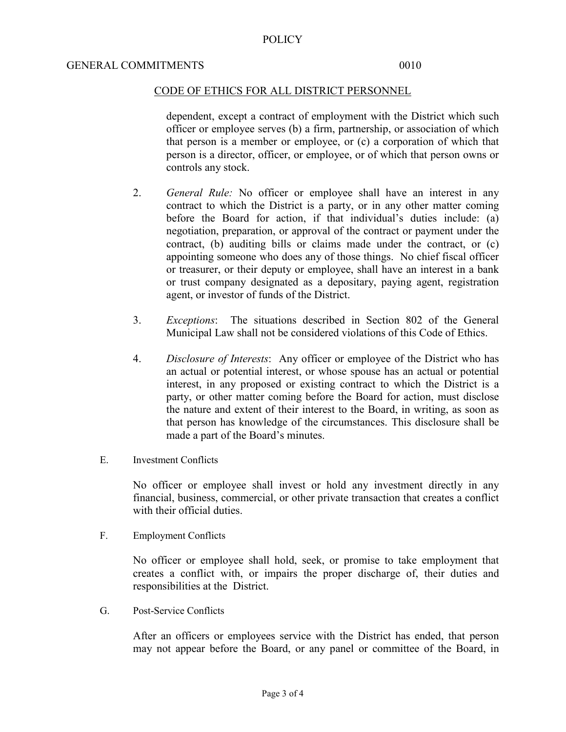## CODE OF ETHICS FOR ALL DISTRICT PERSONNEL

dependent, except a contract of employment with the District which such officer or employee serves (b) a firm, partnership, or association of which that person is a member or employee, or (c) a corporation of which that person is a director, officer, or employee, or of which that person owns or controls any stock.

- 2. *General Rule:* No officer or employee shall have an interest in any contract to which the District is a party, or in any other matter coming before the Board for action, if that individual's duties include: (a) negotiation, preparation, or approval of the contract or payment under the contract, (b) auditing bills or claims made under the contract, or (c) appointing someone who does any of those things. No chief fiscal officer or treasurer, or their deputy or employee, shall have an interest in a bank or trust company designated as a depositary, paying agent, registration agent, or investor of funds of the District.
- 3. *Exceptions*: The situations described in Section 802 of the General Municipal Law shall not be considered violations of this Code of Ethics.
- 4. *Disclosure of Interests*: Any officer or employee of the District who has an actual or potential interest, or whose spouse has an actual or potential interest, in any proposed or existing contract to which the District is a party, or other matter coming before the Board for action, must disclose the nature and extent of their interest to the Board, in writing, as soon as that person has knowledge of the circumstances. This disclosure shall be made a part of the Board's minutes.
- E. Investment Conflicts

No officer or employee shall invest or hold any investment directly in any financial, business, commercial, or other private transaction that creates a conflict with their official duties.

F. Employment Conflicts

No officer or employee shall hold, seek, or promise to take employment that creates a conflict with, or impairs the proper discharge of, their duties and responsibilities at the District.

G. Post-Service Conflicts

After an officers or employees service with the District has ended, that person may not appear before the Board, or any panel or committee of the Board, in